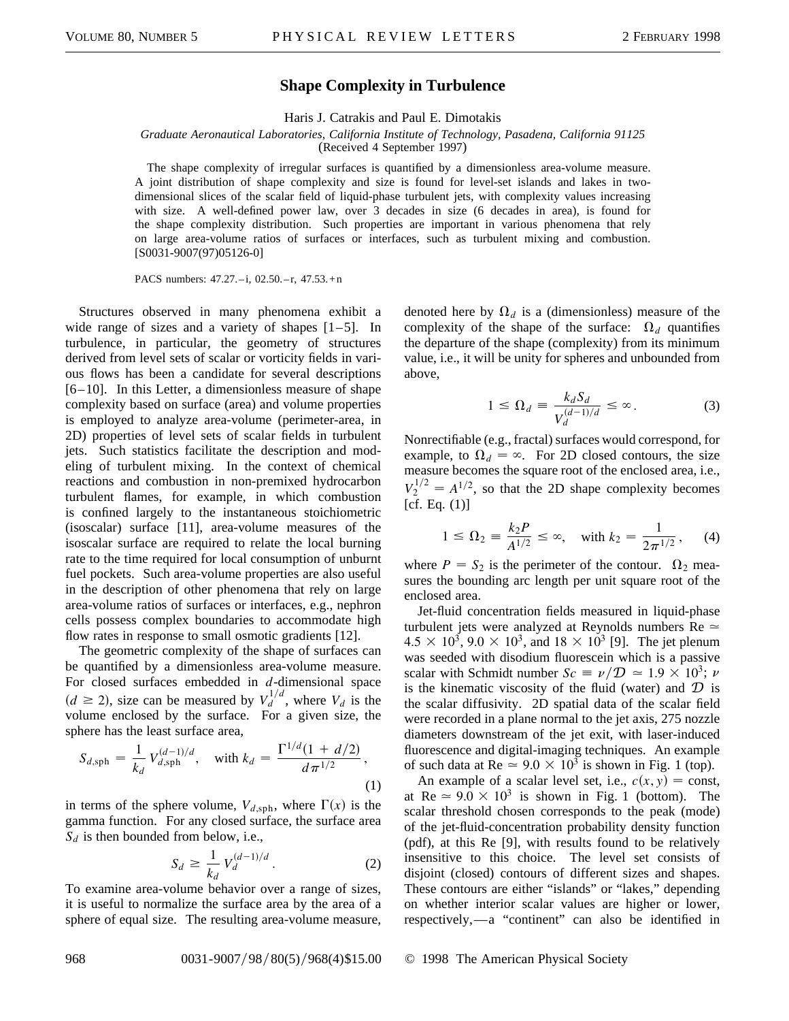## **Shape Complexity in Turbulence**

Haris J. Catrakis and Paul E. Dimotakis

## *Graduate Aeronautical Laboratories, California Institute of Technology, Pasadena, California 91125* (Received 4 September 1997)

The shape complexity of irregular surfaces is quantified by a dimensionless area-volume measure. A joint distribution of shape complexity and size is found for level-set islands and lakes in twodimensional slices of the scalar field of liquid-phase turbulent jets, with complexity values increasing with size. A well-defined power law, over 3 decades in size (6 decades in area), is found for the shape complexity distribution. Such properties are important in various phenomena that rely on large area-volume ratios of surfaces or interfaces, such as turbulent mixing and combustion. [S0031-9007(97)05126-0]

PACS numbers: 47.27. – i, 02.50. – r, 47.53. + n

Structures observed in many phenomena exhibit a wide range of sizes and a variety of shapes  $[1-5]$ . In turbulence, in particular, the geometry of structures derived from level sets of scalar or vorticity fields in various flows has been a candidate for several descriptions [6–10]. In this Letter, a dimensionless measure of shape complexity based on surface (area) and volume properties is employed to analyze area-volume (perimeter-area, in 2D) properties of level sets of scalar fields in turbulent jets. Such statistics facilitate the description and modeling of turbulent mixing. In the context of chemical reactions and combustion in non-premixed hydrocarbon turbulent flames, for example, in which combustion is confined largely to the instantaneous stoichiometric (isoscalar) surface [11], area-volume measures of the isoscalar surface are required to relate the local burning rate to the time required for local consumption of unburnt fuel pockets. Such area-volume properties are also useful in the description of other phenomena that rely on large area-volume ratios of surfaces or interfaces, e.g., nephron cells possess complex boundaries to accommodate high flow rates in response to small osmotic gradients [12].

The geometric complexity of the shape of surfaces can be quantified by a dimensionless area-volume measure. For closed surfaces embedded in *d*-dimensional space  $(d \ge 2)$ , size can be measured by  $V_d^{1/d}$ , where  $V_d$  is the volume enclosed by the surface. For a given size, the sphere has the least surface area,

$$
S_{d,\text{sph}} = \frac{1}{k_d} V_{d,\text{sph}}^{(d-1)/d}, \quad \text{with } k_d = \frac{\Gamma^{1/d}(1 + d/2)}{d \pi^{1/2}}, \tag{1}
$$

in terms of the sphere volume,  $V_{d,\text{sph}}$ , where  $\Gamma(x)$  is the gamma function. For any closed surface, the surface area  $S_d$  is then bounded from below, i.e.,

$$
S_d \ge \frac{1}{k_d} V_d^{(d-1)/d}.
$$
 (2)

To examine area-volume behavior over a range of sizes, it is useful to normalize the surface area by the area of a sphere of equal size. The resulting area-volume measure,

denoted here by  $\Omega_d$  is a (dimensionless) measure of the complexity of the shape of the surface:  $\Omega_d$  quantifies the departure of the shape (complexity) from its minimum value, i.e., it will be unity for spheres and unbounded from above,

$$
1 \leq \Omega_d \equiv \frac{k_d S_d}{V_d^{(d-1)/d}} \leq \infty.
$$
 (3)

Nonrectifiable (e.g., fractal) surfaces would correspond, for example, to  $\Omega_d = \infty$ . For 2D closed contours, the size measure becomes the square root of the enclosed area, i.e.,  $V_2^{1/2} = A^{1/2}$ , so that the 2D shape complexity becomes [cf. Eq.  $(1)$ ]

$$
1 \le \Omega_2 \equiv \frac{k_2 P}{A^{1/2}} \le \infty, \quad \text{with } k_2 = \frac{1}{2\pi^{1/2}}, \quad (4)
$$

where  $P = S_2$  is the perimeter of the contour.  $\Omega_2$  measures the bounding arc length per unit square root of the enclosed area.

Jet-fluid concentration fields measured in liquid-phase turbulent jets were analyzed at Reynolds numbers  $Re \simeq$  $4.5 \times 10^3$ ,  $9.0 \times 10^3$ , and  $18 \times 10^3$  [9]. The jet plenum was seeded with disodium fluorescein which is a passive scalar with Schmidt number  $Sc \equiv \nu / D \approx 1.9 \times 10^3$ ;  $\nu$ is the kinematic viscosity of the fluid (water) and  $D$  is the scalar diffusivity. 2D spatial data of the scalar field were recorded in a plane normal to the jet axis, 275 nozzle diameters downstream of the jet exit, with laser-induced fluorescence and digital-imaging techniques. An example of such data at Re  $\simeq 9.0 \times 10^3$  is shown in Fig. 1 (top).

An example of a scalar level set, i.e.,  $c(x, y) = \text{const}$ , at Re  $\simeq 9.0 \times 10^3$  is shown in Fig. 1 (bottom). The scalar threshold chosen corresponds to the peak (mode) of the jet-fluid-concentration probability density function (pdf), at this Re [9], with results found to be relatively insensitive to this choice. The level set consists of disjoint (closed) contours of different sizes and shapes. These contours are either "islands" or "lakes," depending on whether interior scalar values are higher or lower, respectively,—a "continent" can also be identified in

## 968 0031-9007/98/80(5)/968(4)\$15.00 © 1998 The American Physical Society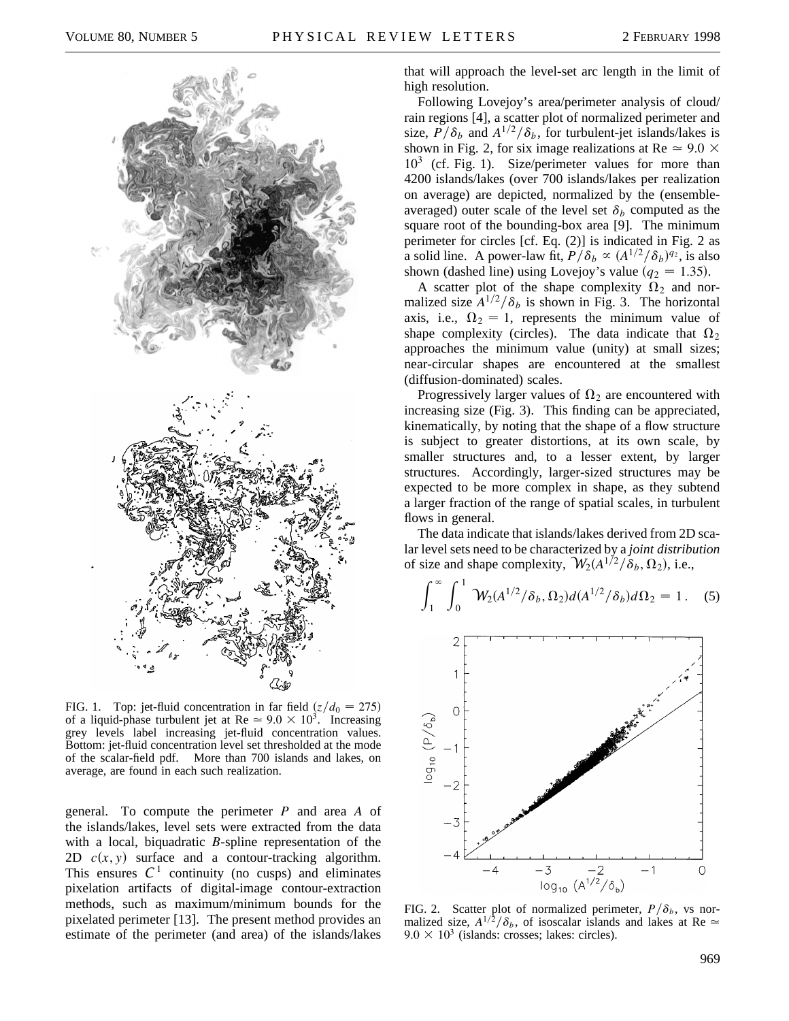

FIG. 1. Top: jet-fluid concentration in far field  $\left(\frac{z}{d_0} = 275\right)$ of a liquid-phase turbulent jet at Re  $\simeq 9.0 \times 10^3$ . Increasing grey levels label increasing jet-fluid concentration values. Bottom: jet-fluid concentration level set thresholded at the mode of the scalar-field pdf. More than 700 islands and lakes, on average, are found in each such realization.

general. To compute the perimeter *P* and area *A* of the islands/lakes, level sets were extracted from the data with a local, biquadratic *B*-spline representation of the 2D  $c(x, y)$  surface and a contour-tracking algorithm. This ensures  $C<sup>1</sup>$  continuity (no cusps) and eliminates pixelation artifacts of digital-image contour-extraction methods, such as maximum/minimum bounds for the pixelated perimeter [13]. The present method provides an estimate of the perimeter (and area) of the islands/lakes

that will approach the level-set arc length in the limit of high resolution.

Following Lovejoy's area/perimeter analysis of cloud/ rain regions [4], a scatter plot of normalized perimeter and size,  $P/\delta_b$  and  $A^{1/2}/\delta_b$ , for turbulent-jet islands/lakes is shown in Fig. 2, for six image realizations at Re  $\simeq$  9.0  $\times$  $10^3$  (cf. Fig. 1). Size/perimeter values for more than 4200 islands/lakes (over 700 islands/lakes per realization on average) are depicted, normalized by the (ensembleaveraged) outer scale of the level set  $\delta_b$  computed as the square root of the bounding-box area [9]. The minimum perimeter for circles [cf. Eq. (2)] is indicated in Fig. 2 as a solid line. A power-law fit,  $P/\delta_b \propto (A^{1/2}/\delta_b)^{q_2}$ , is also shown (dashed line) using Lovejoy's value ( $q_2 = 1.35$ ).

A scatter plot of the shape complexity  $\Omega_2$  and normalized size  $A^{1/2}/\delta_b$  is shown in Fig. 3. The horizontal axis, i.e.,  $\Omega_2 = 1$ , represents the minimum value of shape complexity (circles). The data indicate that  $\Omega_2$ approaches the minimum value (unity) at small sizes; near-circular shapes are encountered at the smallest (diffusion-dominated) scales.

Progressively larger values of  $\Omega_2$  are encountered with increasing size (Fig. 3). This finding can be appreciated, kinematically, by noting that the shape of a flow structure is subject to greater distortions, at its own scale, by smaller structures and, to a lesser extent, by larger structures. Accordingly, larger-sized structures may be expected to be more complex in shape, as they subtend a larger fraction of the range of spatial scales, in turbulent flows in general.

The data indicate that islands/lakes derived from 2D scalar level sets need to be characterized by a *joint distribution* of size and shape complexity,  $\mathcal{W}_2(A^{1/2}/\delta_b, \Omega_2)$ , i.e.,

$$
\int_{1}^{\infty} \int_{0}^{1} \mathcal{W}_{2}(A^{1/2}/\delta_{b}, \Omega_{2}) d(A^{1/2}/\delta_{b}) d\Omega_{2} = 1.
$$
 (5)



FIG. 2. Scatter plot of normalized perimeter,  $P/\delta_b$ , vs normalized size,  $A^{1/2}/\delta_b$ , of isoscalar islands and lakes at Re  $\approx$  $9.0 \times 10^3$  (islands: crosses; lakes: circles).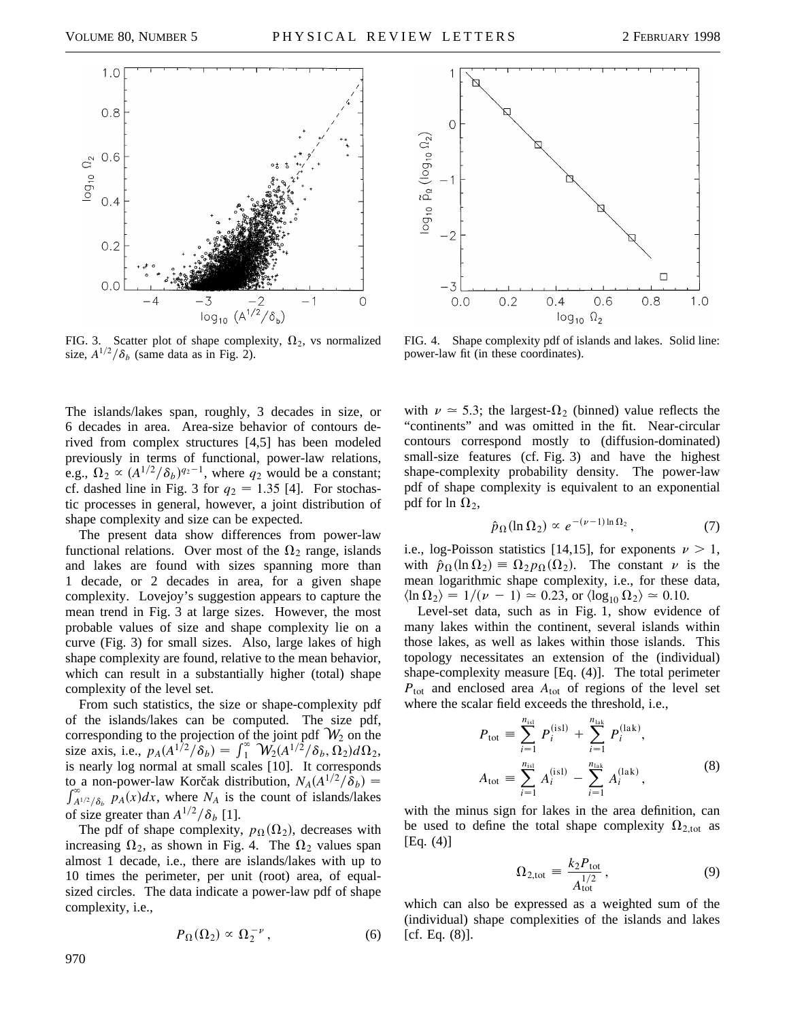

FIG. 3. Scatter plot of shape complexity,  $\Omega_2$ , vs normalized size,  $A^{1/2}/\delta_b$  (same data as in Fig. 2).

The islands/lakes span, roughly, 3 decades in size, or 6 decades in area. Area-size behavior of contours derived from complex structures [4,5] has been modeled previously in terms of functional, power-law relations, e.g.,  $\Omega_2 \propto (A^{1/2}/\delta_b)^{q_2-1}$ , where  $q_2$  would be a constant; cf. dashed line in Fig. 3 for  $q_2 = 1.35$  [4]. For stochastic processes in general, however, a joint distribution of shape complexity and size can be expected.

The present data show differences from power-law functional relations. Over most of the  $\Omega_2$  range, islands and lakes are found with sizes spanning more than 1 decade, or 2 decades in area, for a given shape complexity. Lovejoy's suggestion appears to capture the mean trend in Fig. 3 at large sizes. However, the most probable values of size and shape complexity lie on a curve (Fig. 3) for small sizes. Also, large lakes of high shape complexity are found, relative to the mean behavior, which can result in a substantially higher (total) shape complexity of the level set.

From such statistics, the size or shape-complexity pdf of the islands/lakes can be computed. The size pdf, corresponding to the projection of the joint pdf  $W_2$  on the size axis, i.e.,  $p_A(A^{1/2}/\delta_b) = \int_{1}^{\infty} W_2(A^{1/2}/\delta_b, \Omega_2) d\Omega_2$ , is nearly log normal at small scales [10]. It corresponds to a non-power-law Korčak distribution,  $N_A(A^{1/2}/\delta_b) =$  $\int_{A^{1/2}/\delta_b}^{\infty} p_A(x) dx$ , where  $N_A$  is the count of islands/lakes of size greater than  $A^{1/2}/\delta_b$  [1].

The pdf of shape complexity,  $p_{\Omega}(\Omega_2)$ , decreases with increasing  $\Omega_2$ , as shown in Fig. 4. The  $\Omega_2$  values span almost 1 decade, i.e., there are islands/lakes with up to 10 times the perimeter, per unit (root) area, of equalsized circles. The data indicate a power-law pdf of shape complexity, i.e.,

$$
P_{\Omega}(\Omega_2) \propto \Omega_2^{-\nu} \,, \tag{6}
$$



FIG. 4. Shape complexity pdf of islands and lakes. Solid line: power-law fit (in these coordinates).

with  $\nu \approx 5.3$ ; the largest- $\Omega_2$  (binned) value reflects the "continents" and was omitted in the fit. Near-circular contours correspond mostly to (diffusion-dominated) small-size features (cf. Fig. 3) and have the highest shape-complexity probability density. The power-law pdf of shape complexity is equivalent to an exponential pdf for ln  $\Omega_2$ ,

$$
\hat{p}_{\Omega}(\ln \Omega_2) \propto e^{-(\nu - 1)\ln \Omega_2}, \qquad (7)
$$

i.e., log-Poisson statistics [14,15], for exponents  $\nu > 1$ , with  $\hat{p}_{\Omega}(\ln \Omega_2) = \Omega_2 p_{\Omega}(\Omega_2)$ . The constant v is the mean logarithmic shape complexity, i.e., for these data,  $\langle \ln \Omega_2 \rangle = 1/(\nu - 1) \approx 0.23$ , or  $\langle \log_{10} \Omega_2 \rangle \approx 0.10$ .

Level-set data, such as in Fig. 1, show evidence of many lakes within the continent, several islands within those lakes, as well as lakes within those islands. This topology necessitates an extension of the (individual) shape-complexity measure [Eq. (4)]. The total perimeter  $P_{\text{tot}}$  and enclosed area  $A_{\text{tot}}$  of regions of the level set where the scalar field exceeds the threshold, i.e.,

$$
P_{\text{tot}} \equiv \sum_{i=1}^{n_{\text{isl}}} P_i^{(\text{isl})} + \sum_{i=1}^{n_{\text{lak}}} P_i^{(\text{lak})},
$$
  

$$
A_{\text{tot}} \equiv \sum_{i=1}^{n_{\text{isl}}} A_i^{(\text{isl})} - \sum_{i=1}^{n_{\text{lak}}} A_i^{(\text{lak})},
$$
 (8)

with the minus sign for lakes in the area definition, can be used to define the total shape complexity  $\Omega_{2,\text{tot}}$  as [Eq. (4)]

$$
\Omega_{2,\text{tot}} \equiv \frac{k_2 P_{\text{tot}}}{A_{\text{tot}}^{1/2}},\tag{9}
$$

which can also be expressed as a weighted sum of the (individual) shape complexities of the islands and lakes  $[cf. Eq. (8)].$